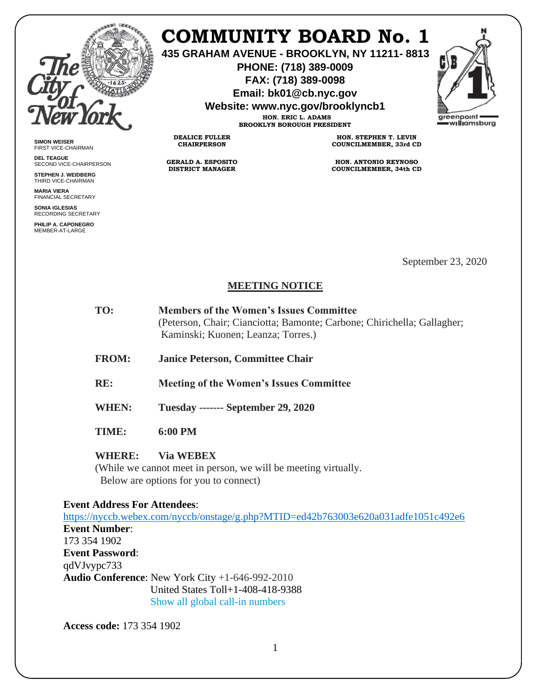

**SIMON WEISER** FIRST VICE-CHAIRMAN **DEL TEAGUE**

SECOND VICE-CHAIRPERSON **STEPHEN J. WEIDBERG** THIRD VICE-CHAIRMAN **MARIA VIERA** FINANCIAL SECRETARY **SONIA IGLESIAS** RECORDING SECRETARY **PHILIP A. CAPONEGRO** MEMBER-AT-LARGE

# **COMMUNITY BOARD No. 1**

**435 GRAHAM AVENUE - BROOKLYN, NY 11211- 8813**

**PHONE: (718) 389-0009 FAX: (718) 389-0098**

**Email: bk01@cb.nyc.gov**

**Website: www.nyc.gov/brooklyncb1**

**HON. ERIC L. ADAMS BROOKLYN BOROUGH PRESIDENT**

**DEALICE FULLER CHAIRPERSON**

**GERALD A. ESPOSITO DISTRICT MANAGER**

**HON. STEPHEN T. LEVIN COUNCILMEMBER, 33rd CD**

**HON. ANTONIO REYNOSO COUNCILMEMBER, 34th CD**

September 23, 2020

## **MEETING NOTICE**

| TO: | <b>Members of the Women's Issues Committee</b>                          |
|-----|-------------------------------------------------------------------------|
|     | (Peterson, Chair; Cianciotta; Bamonte; Carbone; Chirichella; Gallagher; |
|     | Kaminski; Kuonen; Leanza; Torres.)                                      |
|     |                                                                         |

**FROM: Janice Peterson, Committee Chair** 

**RE: Meeting of the Women's Issues Committee** 

**WHEN: Tuesday ------- September 29, 2020** 

**TIME: 6:00 PM** 

### **WHERE: Via WEBEX**

(While we cannot meet in person, we will be meeting virtually. Below are options for you to connect)

### **Event Address For Attendees**:

<https://nyccb.webex.com/nyccb/onstage/g.php?MTID=ed42b763003e620a031adfe1051c492e6> **Event Number**: 173 354 1902 **Event Password**: qdVJvypc733 **Audio Conference**: New York City +1-646-992-2010 United States Toll+1-408-418-9388 Show all global call-in numbers

**Access code:** 173 354 1902